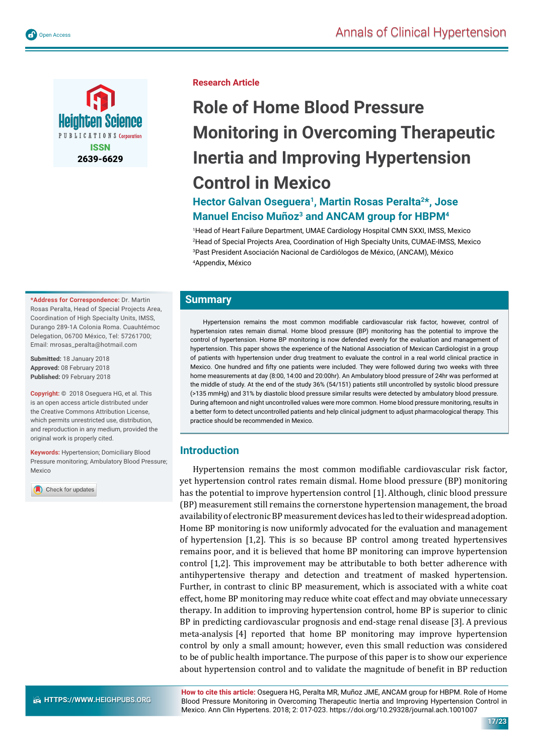

**Research Article**

# **Role of Home Blood Pressure Monitoring in Overcoming Therapeutic Inertia and Improving Hypertension Control in Mexico**

## **Hector Galvan Oseguera1, Martin Rosas Peralta2\*, Jose Manuel Enciso Muñoz<sup>3</sup> and ANCAM group for HBPM<sup>4</sup>**

 Head of Heart Failure Department, UMAE Cardiology Hospital CMN SXXI, IMSS, Mexico Head of Special Projects Area, Coordination of High Specialty Units, CUMAE-IMSS, Mexico Past President Asociación Nacional de Cardiólogos de México, (ANCAM), México Appendix, México

#### **Summary**

Hypertension remains the most common modifiable cardiovascular risk factor, however, control of hypertension rates remain dismal. Home blood pressure (BP) monitoring has the potential to improve the control of hypertension. Home BP monitoring is now defended evenly for the evaluation and management of hypertension. This paper shows the experience of the National Association of Mexican Cardiologist in a group of patients with hypertension under drug treatment to evaluate the control in a real world clinical practice in Mexico. One hundred and fifty one patients were included. They were followed during two weeks with three home measurements at day (8:00, 14:00 and 20:00hr). An Ambulatory blood pressure of 24hr was performed at the middle of study. At the end of the study 36% (54/151) patients still uncontrolled by systolic blood pressure (>135 mmHg) and 31% by diastolic blood pressure similar results were detected by ambulatory blood pressure. During afternoon and night uncontrolled values were more common. Home blood pressure monitoring, results in a better form to detect uncontrolled patients and help clinical judgment to adjust pharmacological therapy. This practice should be recommended in Mexico.

#### **Introduction**

Hypertension remains the most common modifiable cardiovascular risk factor, yet hypertension control rates remain dismal. Home blood pressure (BP) monitoring has the potential to improve hypertension control [1]. Although, clinic blood pressure (BP) measurement still remains the cornerstone hypertension management, the broad availability of electronic BP measurement devices has led to their widespread adoption. Home BP monitoring is now uniformly advocated for the evaluation and management of hypertension [1,2]. This is so because BP control among treated hypertensives remains poor, and it is believed that home BP monitoring can improve hypertension control [1,2]. This improvement may be attributable to both better adherence with antihypertensive therapy and detection and treatment of masked hypertension. Further, in contrast to clinic BP measurement, which is associated with a white coat effect, home BP monitoring may reduce white coat effect and may obviate unnecessary therapy. In addition to improving hypertension control, home BP is superior to clinic BP in predicting cardiovascular prognosis and end-stage renal disease [3]. A previous meta-analysis [4] reported that home BP monitoring may improve hypertension control by only a small amount; however, even this small reduction was considered to be of public health importance. The purpose of this paper is to show our experience about hypertension control and to validate the magnitude of benefit in BP reduction

**\*Address for Correspondence:** Dr. Martin Rosas Peralta, Head of Special Projects Area, Coordination of High Specialty Units, IMSS, Durango 289-1A Colonia Roma. Cuauhtémoc Delegation, 06700 México, Tel: 57261700; Email: mrosas\_peralta@hotmail.com

**Submitted:** 18 January 2018 **Approved:** 08 February 2018 **Published:** 09 February 2018

**Copyright: ©** 2018 Oseguera HG, et al. This is an open access article distributed under the Creative Commons Attribution License, which permits unrestricted use, distribution, and reproduction in any medium, provided the original work is properly cited.

**Keywords:** Hypertension; Domiciliary Blood Pressure monitoring; Ambulatory Blood Pressure; Mexico

Check for updates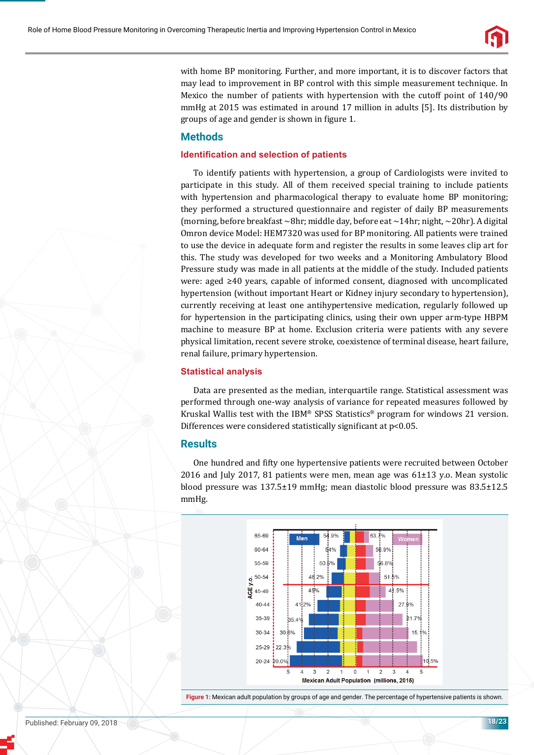

with home BP monitoring. Further, and more important, it is to discover factors that may lead to improvement in BP control with this simple measurement technique. In Mexico the number of patients with hypertension with the cutoff point of 140/90 mmHg at 2015 was estimated in around 17 million in adults [5]. Its distribution by groups of age and gender is shown in figure 1.

## **Methods**

#### **Identification and selection of patients**

To identify patients with hypertension, a group of Cardiologists were invited to participate in this study. All of them received special training to include patients with hypertension and pharmacological therapy to evaluate home BP monitoring; they performed a structured questionnaire and register of daily BP measurements (morning, before breakfast  $\sim$ 8hr; middle day, before eat  $\sim$ 14hr; night,  $\sim$ 20hr). A digital Omron device Model: HEM7320 was used for BP monitoring. All patients were trained to use the device in adequate form and register the results in some leaves clip art for this. The study was developed for two weeks and a Monitoring Ambulatory Blood Pressure study was made in all patients at the middle of the study. Included patients were: aged ≥40 years, capable of informed consent, diagnosed with uncomplicated hypertension (without important Heart or Kidney injury secondary to hypertension), currently receiving at least one antihypertensive medication, regularly followed up for hypertension in the participating clinics, using their own upper arm-type HBPM machine to measure BP at home. Exclusion criteria were patients with any severe physical limitation, recent severe stroke, coexistence of terminal disease, heart failure, renal failure, primary hypertension.

#### **Statistical analysis**

Data are presented as the median, interquartile range. Statistical assessment was performed through one-way analysis of variance for repeated measures followed by Kruskal Wallis test with the IBM® SPSS Statistics® program for windows 21 version. Differences were considered statistically significant at p<0.05.

#### **Results**

One hundred and fifty one hypertensive patients were recruited between October 2016 and July 2017, 81 patients were men, mean age was 61±13 y.o. Mean systolic blood pressure was 137.5±19 mmHg; mean diastolic blood pressure was 83.5±12.5 mmHg.



**Figure 1:** Mexican adult population by groups of age and gender. The percentage of hypertensive patients is shown.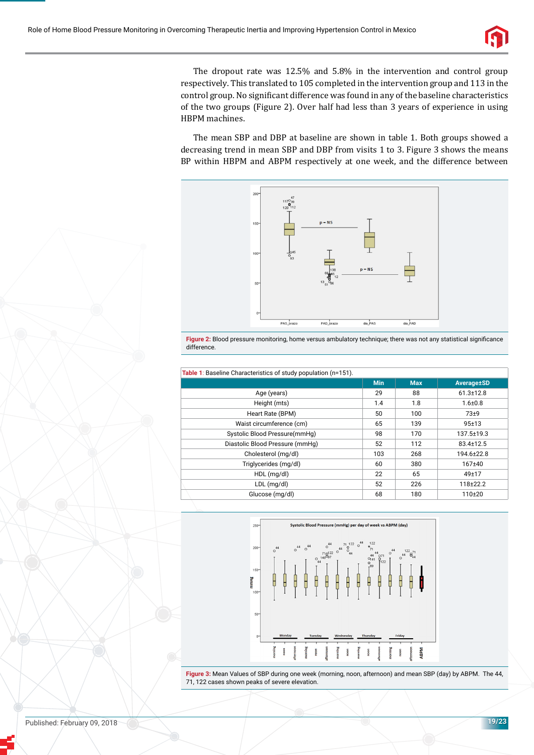

The dropout rate was 12.5% and 5.8% in the intervention and control group respectively. This translated to 105 completed in the intervention group and 113 in the control group. No significant difference was found in any of the baseline characteristics of the two groups (Figure 2). Over half had less than 3 years of experience in using HBPM machines.

The mean SBP and DBP at baseline are shown in table 1. Both groups showed a decreasing trend in mean SBP and DBP from visits 1 to 3. Figure 3 shows the means BP within HBPM and ABPM respectively at one week, and the difference between





| Table 1: Baseline Characteristics of study population (n=151). |            |            |                 |
|----------------------------------------------------------------|------------|------------|-----------------|
|                                                                | <b>Min</b> | <b>Max</b> | Average±SD      |
| Age (years)                                                    | 29         | 88         | $61.3 \pm 12.8$ |
| Height (mts)                                                   | 1.4        | 1.8        | $1.6 \pm 0.8$   |
| Heart Rate (BPM)                                               | 50         | 100        | $73+9$          |
| Waist circumference (cm)                                       | 65         | 139        | $95 + 13$       |
| Systolic Blood Pressure(mmHg)                                  | 98         | 170        | 137.5±19.3      |
| Diastolic Blood Pressure (mmHg)                                | 52         | 112        | 83.4±12.5       |
| Cholesterol (mg/dl)                                            | 103        | 268        | 194.6±22.8      |
| Triglycerides (mg/dl)                                          | 60         | 380        | $167 + 40$      |
| HDL (mg/dl)                                                    | 22         | 65         | 49±17           |
| $LDL$ (mg/dl)                                                  | 52         | 226        | 118±22.2        |
| Glucose (mg/dl)                                                | 68         | 180        | $110+20$        |
|                                                                |            |            |                 |



**Figure 3:** Mean Values of SBP during one week (morning, noon, afternoon) and mean SBP (day) by ABPM. The 44, 71, 122 cases shown peaks of severe elevation.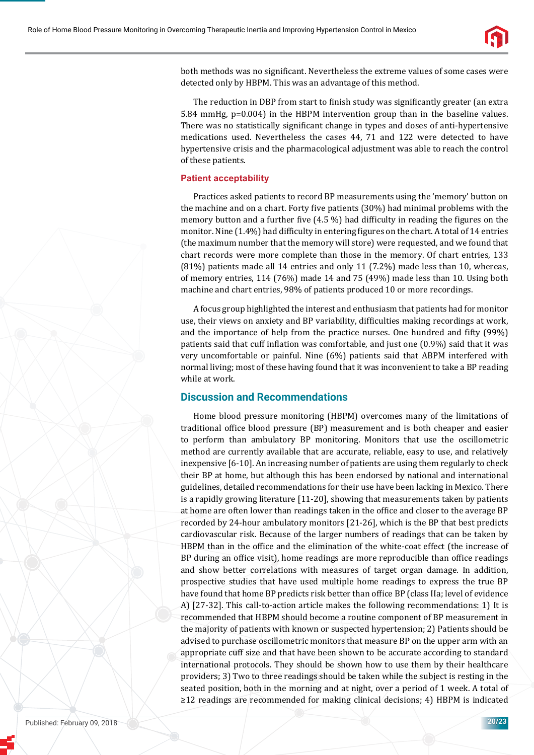

both methods was no significant. Nevertheless the extreme values of some cases were detected only by HBPM. This was an advantage of this method.

The reduction in DBP from start to finish study was significantly greater (an extra 5.84 mmHg, p=0.004) in the HBPM intervention group than in the baseline values. There was no statistically significant change in types and doses of anti-hypertensive medications used. Nevertheless the cases 44, 71 and 122 were detected to have hypertensive crisis and the pharmacological adjustment was able to reach the control of these patients.

#### **Patient acceptability**

Practices asked patients to record BP measurements using the 'memory' button on the machine and on a chart. Forty five patients (30%) had minimal problems with the memory button and a further five (4.5 %) had difficulty in reading the figures on the monitor. Nine  $(1.4\%)$  had difficulty in entering figures on the chart. A total of 14 entries (the maximum number that the memory will store) were requested, and we found that chart records were more complete than those in the memory. Of chart entries, 133 (81%) patients made all 14 entries and only 11 (7.2%) made less than 10, whereas, of memory entries, 114 (76%) made 14 and 75 (49%) made less than 10. Using both machine and chart entries, 98% of patients produced 10 or more recordings.

A focus group highlighted the interest and enthusiasm that patients had for monitor use, their views on anxiety and BP variability, difficulties making recordings at work, and the importance of help from the practice nurses. One hundred and fifty (99%) patients said that cuff inflation was comfortable, and just one  $(0.9\%)$  said that it was very uncomfortable or painful. Nine (6%) patients said that ABPM interfered with normal living; most of these having found that it was inconvenient to take a BP reading while at work.

#### **Discussion and Recommendations**

Home blood pressure monitoring (HBPM) overcomes many of the limitations of traditional office blood pressure (BP) measurement and is both cheaper and easier to perform than ambulatory BP monitoring. Monitors that use the oscillometric method are currently available that are accurate, reliable, easy to use, and relatively inexpensive [6-10]. An increasing number of patients are using them regularly to check their BP at home, but although this has been endorsed by national and international guidelines, detailed recommendations for their use have been lacking in Mexico. There is a rapidly growing literature [11-20], showing that measurements taken by patients at home are often lower than readings taken in the office and closer to the average BP recorded by 24-hour ambulatory monitors [21-26], which is the BP that best predicts cardiovascular risk. Because of the larger numbers of readings that can be taken by HBPM than in the office and the elimination of the white-coat effect (the increase of BP during an office visit), home readings are more reproducible than office readings and show better correlations with measures of target organ damage. In addition, prospective studies that have used multiple home readings to express the true BP have found that home BP predicts risk better than office BP (class IIa; level of evidence A) [27-32]. This call-to-action article makes the following recommendations: 1) It is recommended that HBPM should become a routine component of BP measurement in the majority of patients with known or suspected hypertension; 2) Patients should be advised to purchase oscillometric monitors that measure BP on the upper arm with an appropriate cuff size and that have been shown to be accurate according to standard international protocols. They should be shown how to use them by their healthcare providers; 3) Two to three readings should be taken while the subject is resting in the seated position, both in the morning and at night, over a period of 1 week. A total of ≥12 readings are recommended for making clinical decisions; 4) HBPM is indicated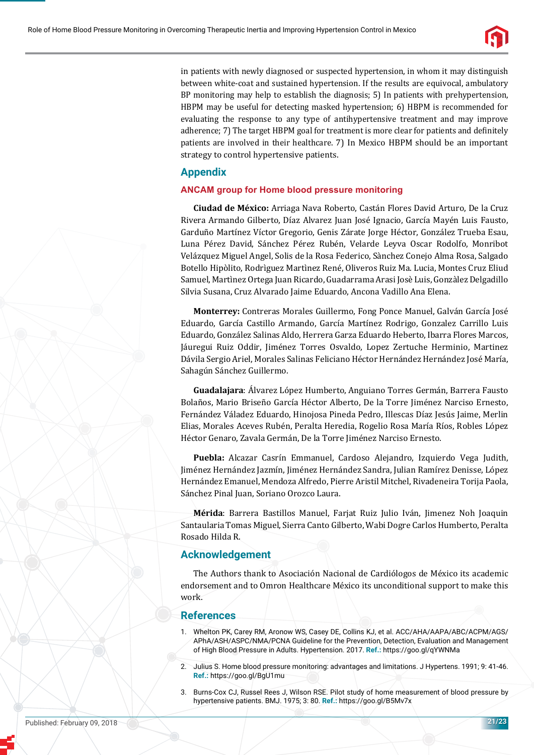

in patients with newly diagnosed or suspected hypertension, in whom it may distinguish between white-coat and sustained hypertension. If the results are equivocal, ambulatory BP monitoring may help to establish the diagnosis; 5) In patients with prehypertension, HBPM may be useful for detecting masked hypertension; 6) HBPM is recommended for evaluating the response to any type of antihypertensive treatment and may improve adherence; 7) The target HBPM goal for treatment is more clear for patients and definitely patients are involved in their healthcare. 7) In Mexico HBPM should be an important strategy to control hypertensive patients.

## **Appendix**

#### **ANCAM group for Home blood pressure monitoring**

**Ciudad de México:** Arriaga Nava Roberto, Castán Flores David Arturo, De la Cruz Rivera Armando Gilberto, Díaz Alvarez Juan José Ignacio, García Mayén Luis Fausto, Garduño Martínez Víctor Gregorio, Genis Zárate Jorge Héctor, González Trueba Esau, Luna Pérez David, Sánchez Pérez Rubén, Velarde Leyva Oscar Rodolfo, Monribot Velázquez Miguel Angel, Solis de la Rosa Federico, Sànchez Conejo Alma Rosa, Salgado Botello Hipòlito, Rodrìguez Martìnez René, Oliveros Ruiz Ma. Lucia, Montes Cruz Eliud Samuel, Martìnez Ortega Juan Ricardo, Guadarrama Arasi Josè Luis, Gonzàlez Delgadillo Silvia Susana, Cruz Alvarado Jaime Eduardo, Ancona Vadillo Ana Elena.

**Monterrey:** Contreras Morales Guillermo, Fong Ponce Manuel, Galván García José Eduardo, García Castillo Armando, García Martínez Rodrigo, Gonzalez Carrillo Luis Eduardo, González Salinas Aldo, Herrera Garza Eduardo Heberto, Ibarra Flores Marcos, Jáuregui Ruiz Oddir, Jiménez Torres Osvaldo, Lopez Zertuche Herminio, Martinez Dávila Sergio Ariel, Morales Salinas Feliciano Héctor Hernández Hernández José María, Sahagún Sánchez Guillermo.

**Guadalajara**: Álvarez López Humberto, Anguiano Torres Germán, Barrera Fausto Bolaños, Mario Briseño García Héctor Alberto, De la Torre Jiménez Narciso Ernesto, Fernández Váladez Eduardo, Hinojosa Pineda Pedro, Illescas Díaz Jesús Jaime, Merlin Elias, Morales Aceves Rubén, Peralta Heredia, Rogelio Rosa María Ríos, Robles López Héctor Genaro, Zavala Germán, De la Torre Jiménez Narciso Ernesto.

**Puebla:** Alcazar Casrín Emmanuel, Cardoso Alejandro, Izquierdo Vega Judith, Jiménez Hernández Jazmín, Jiménez Hernández Sandra, Julian Ramírez Denisse, López Hernández Emanuel, Mendoza Alfredo, Pierre Aristil Mitchel, Rivadeneira Torija Paola, Sánchez Pinal Juan, Soriano Orozco Laura.

**Mérida**: Barrera Bastillos Manuel, Farjat Ruiz Julio Iván, Jimenez Noh Joaquin Santaularia Tomas Miguel, Sierra Canto Gilberto, Wabi Dogre Carlos Humberto, Peralta Rosado Hilda R.

#### **Acknowledgement**

The Authors thank to Asociación Nacional de Cardiólogos de México its academic endorsement and to Omron Healthcare México its unconditional support to make this work.

#### **References**

- 1. Whelton PK, Carey RM, Aronow WS, Casey DE, Collins KJ, et al. ACC/AHA/AAPA/ABC/ACPM/AGS/ APhA/ASH/ASPC/NMA/PCNA Guideline for the Prevention, Detection, Evaluation and Management of High Blood Pressure in Adults. Hypertension. 2017. **Ref.:** https://goo.gl/qYWNMa
- 2. Julius S. Home blood pressure monitoring: advantages and limitations. J Hypertens. 1991; 9: 41-46. **Ref.:** https://goo.gl/BgU1mu
- 3. Burns-Cox CJ, Russel Rees J, Wilson RSE. Pilot study of home measurement of blood pressure by hypertensive patients. BMJ. 1975; 3: 80. **Ref.:** https://goo.gl/B5Mv7x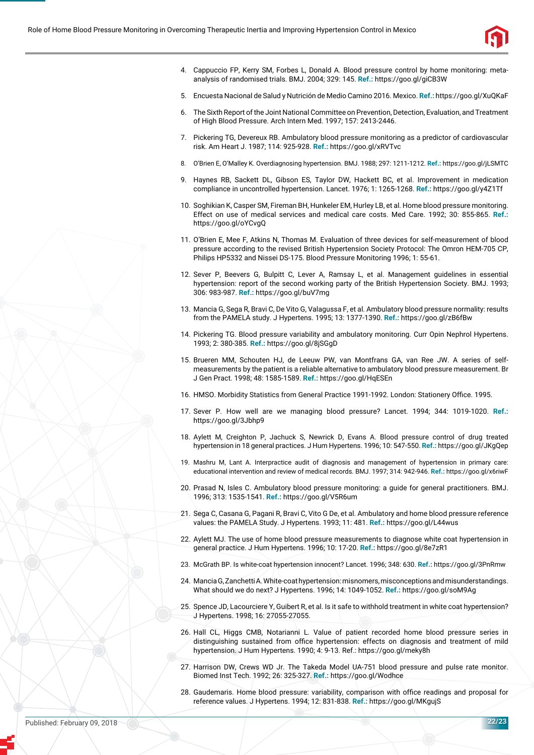

- 4. Cappuccio FP, Kerry SM, Forbes L, Donald A. Blood pressure control by home monitoring: metaanalysis of randomised trials. BMJ. 2004; 329: 145. **Ref.:** https://goo.gl/giCB3W
- 5. Encuesta Nacional de Salud y Nutrición de Medio Camino 2016. Mexico. **Ref.:** https://goo.gl/XuQKaF
- 6. The Sixth Report of the Joint National Committee on Prevention, Detection, Evaluation, and Treatment of High Blood Pressure. Arch Intern Med. 1997; 157: 2413-2446.
- 7. Pickering TG, Devereux RB. Ambulatory blood pressure monitoring as a predictor of cardiovascular risk. Am Heart J. 1987; 114: 925-928. **Ref.:** https://goo.gl/xRVTvc
- 8. O'Brien E, O'Malley K. Overdiagnosing hypertension. BMJ. 1988; 297: 1211-1212. **Ref.:** https://goo.gl/jLSMTC
- 9. Haynes RB, Sackett DL, Gibson ES, Taylor DW, Hackett BC, et al. Improvement in medication compliance in uncontrolled hypertension. Lancet. 1976; 1: 1265-1268. **Ref.:** https://goo.gl/y4Z1Tf
- 10. Soghikian K, Casper SM, Fireman BH, Hunkeler EM, Hurley LB, et al. Home blood pressure monitoring. Effect on use of medical services and medical care costs. Med Care. 1992; 30: 855-865. **Ref.:** https://goo.gl/oYCvgQ
- 11. O'Brien E, Mee F, Atkins N, Thomas M. Evaluation of three devices for self-measurement of blood pressure according to the revised British Hypertension Society Protocol: The Omron HEM-705 CP, Philips HP5332 and Nissei DS-175. Blood Pressure Monitoring 1996; 1: 55-61.
- 12. Sever P, Beevers G, Bulpitt C, Lever A, Ramsay L, et al. Management guidelines in essential hypertension: report of the second working party of the British Hypertension Society. BMJ. 1993; 306: 983-987. **Ref.:** https://goo.gl/buV7mg
- 13. Mancia G, Sega R, Bravi C, De Vito G, Valagussa F, et al. Ambulatory blood pressure normality: results from the PAMELA study. J Hypertens. 1995; 13: 1377-1390. **Ref.:** https://goo.gl/zB6fBw
- 14. Pickering TG. Blood pressure variability and ambulatory monitoring. Curr Opin Nephrol Hypertens. 1993; 2: 380-385. **Ref.:** https://goo.gl/8jSGgD
- 15. Brueren MM, Schouten HJ, de Leeuw PW, van Montfrans GA, van Ree JW. A series of selfmeasurements by the patient is a reliable alternative to ambulatory blood pressure measurement. Br J Gen Pract. 1998; 48: 1585-1589. **Ref.:** https://goo.gl/HqESEn
- 16. HMSO. Morbidity Statistics from General Practice 1991-1992. London: Stationery Office. 1995.
- 17. Sever P. How well are we managing blood pressure? Lancet. 1994; 344: 1019-1020. **Ref.:** https://goo.gl/3Jbhp9
- 18. Aylett M, Creighton P, Jachuck S, Newrick D, Evans A. Blood pressure control of drug treated hypertension in 18 general practices. J Hum Hypertens. 1996; 10: 547-550. **Ref.:** https://goo.gl/JKgQep
- 19. Mashru M, Lant A. Interpractice audit of diagnosis and management of hypertension in primary care: educational intervention and review of medical records. BMJ. 1997; 314: 942-946. **Ref.:** https://goo.gl/x6riwF
- 20. Prasad N, Isles C. Ambulatory blood pressure monitoring: a guide for general practitioners. BMJ. 1996; 313: 1535-1541. **Ref.:** https://goo.gl/V5R6um
- 21. Sega C, Casana G, Pagani R, Bravi C, Vito G De, et al. Ambulatory and home blood pressure reference values: the PAMELA Study. J Hypertens. 1993; 11: 481. **Ref.:** https://goo.gl/L44wus
- 22. Aylett MJ. The use of home blood pressure measurements to diagnose white coat hypertension in general practice. J Hum Hypertens. 1996; 10: 17-20. **Ref.:** https://goo.gl/8e7zR1
- 23. McGrath BP. Is white-coat hypertension innocent? Lancet. 1996; 348: 630. **Ref.:** https://goo.gl/3PnRmw
- 24. Mancia G, Zanchetti A. White-coat hypertension: misnomers, misconceptions and misunderstandings. What should we do next? J Hypertens. 1996; 14: 1049-1052. **Ref.:** https://goo.gl/soM9Ag
- 25. Spence JD, Lacourciere Y, Guibert R, et al. Is it safe to withhold treatment in white coat hypertension? J Hypertens. 1998; 16: 27055-27055.
- 26. Hall CL, Higgs CMB, Notarianni L. Value of patient recorded home blood pressure series in distinguishing sustained from office hypertension: effects on diagnosis and treatment of mild hypertension. J Hum Hypertens. 1990; 4: 9-13. Ref.: https://goo.gl/meky8h
- 27. Harrison DW, Crews WD Jr. The Takeda Model UA-751 blood pressure and pulse rate monitor. Biomed Inst Tech. 1992; 26: 325-327. **Ref.:** https://goo.gl/Wodhce
- 28. Gaudemaris. Home blood pressure: variability, comparison with office readings and proposal for reference values. J Hypertens. 1994; 12: 831-838. **Ref.:** https://goo.gl/MKgujS